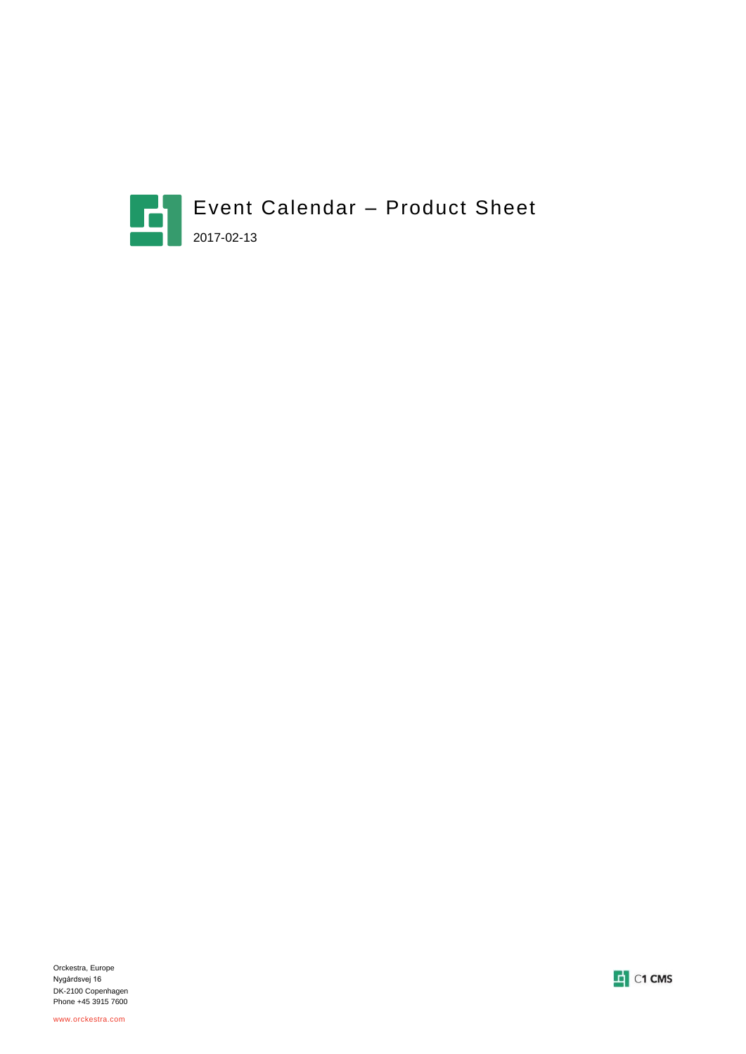



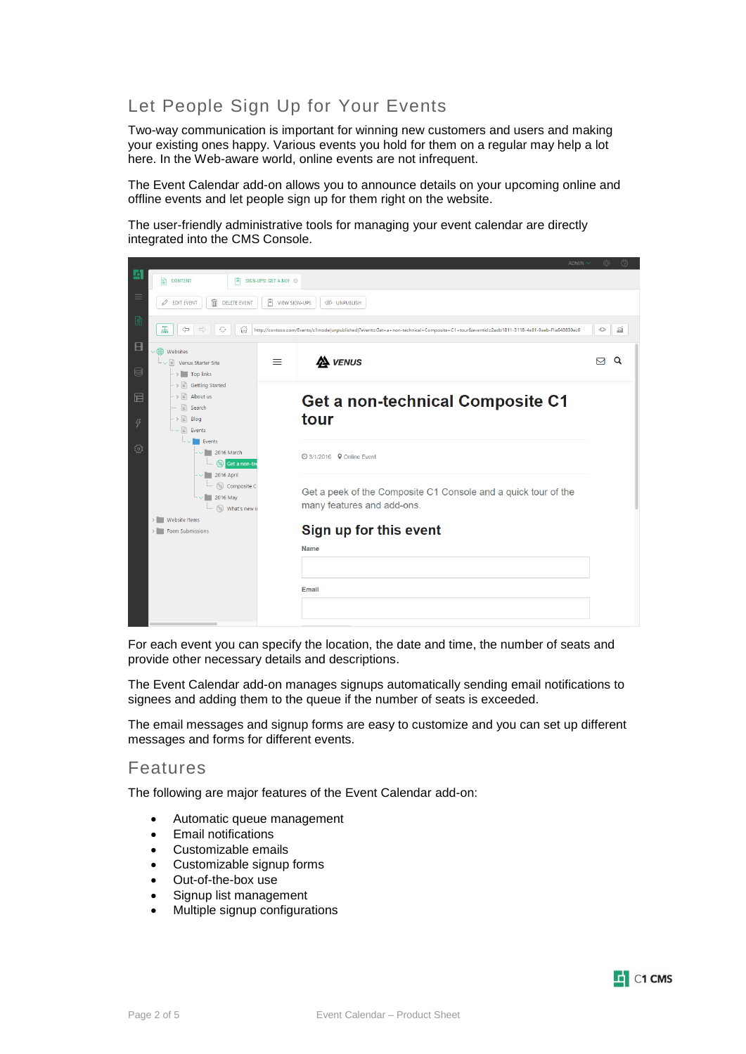## Let People Sign Up for Your Events

Two-way communication is important for winning new customers and users and making your existing ones happy. Various events you hold for them on a regular may help a lot here. In the Web-aware world, online events are not infrequent.

The Event Calendar add-on allows you to announce details on your upcoming online and offline events and let people sign up for them right on the website.

The user-friendly administrative tools for managing your event calendar are directly integrated into the CMS Console.



For each event you can specify the location, the date and time, the number of seats and provide other necessary details and descriptions.

The Event Calendar add-on manages signups automatically sending email notifications to signees and adding them to the queue if the number of seats is exceeded.

The email messages and signup forms are easy to customize and you can set up different messages and forms for different events.

#### Features

The following are major features of the Event Calendar add-on:

- Automatic queue management
- Email notifications
- Customizable emails
- Customizable signup forms
- Out-of-the-box use
- Signup list management
- Multiple signup configurations

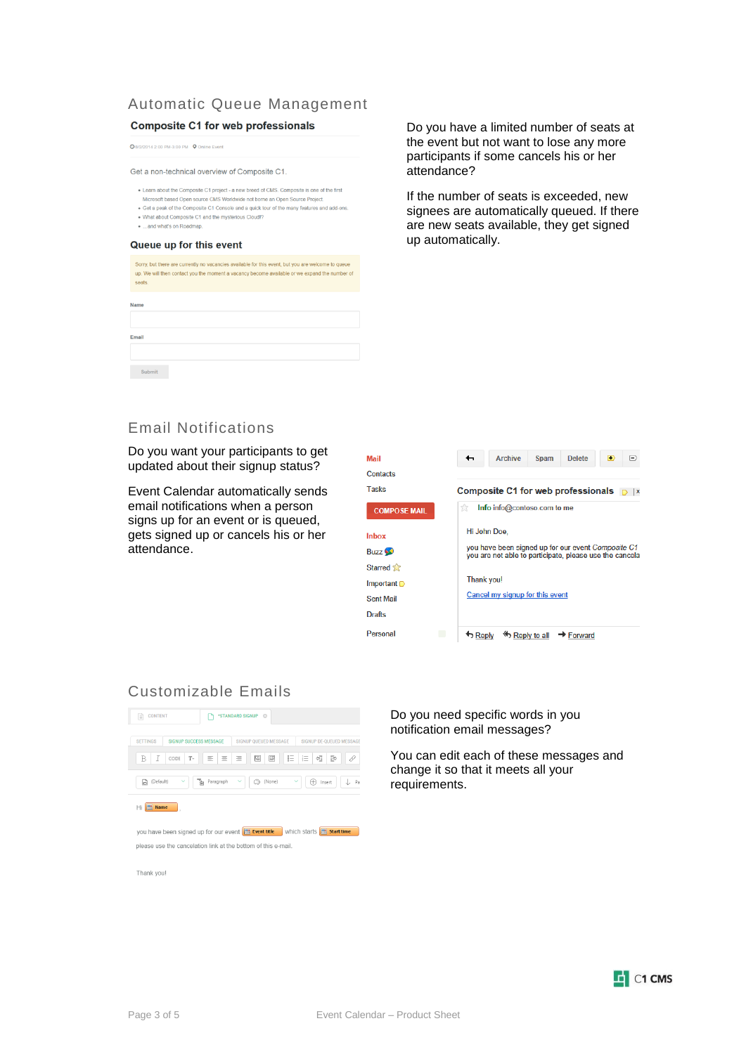### Automatic Queue Management

#### **Composite C1 for web professionals**

**Q** 8/2/2014 2:00 PM-3:00 PM **Q** Online Event

Get a non-technical overview of Composite C1.

- Learn about the Composite C1 project a new breed of CMS. Composite is one of the first
- Microsoft based Open source CMS Worldwide not borne an Open Source Project. • Get a peak of the Composite C1 Console and a quick tour of the many features and add-ons.
- . What about Composite C1 and the mysterious Cloud!? ...and what's on Roadmap
- 

#### Queue up for this event

| seats. | Sorry, but there are currently no vacancies available for this event, but you are welcome to queue<br>up. We will then contact you the moment a vacancy become available or we expand the number of |
|--------|-----------------------------------------------------------------------------------------------------------------------------------------------------------------------------------------------------|
| Name   |                                                                                                                                                                                                     |
| Email  |                                                                                                                                                                                                     |
| Submit |                                                                                                                                                                                                     |

Do you have a limited number of seats at the event but not want to lose any more participants if some cancels his or her attendance?

If the number of seats is exceeded, new signees are automatically queued. If there are new seats available, they get signed up automatically.

### Email Notifications

Do you want your participants to get updated about their signup status?

Event Calendar automatically sends email notifications when a person signs up for an event or is queued, gets signed up or cancels his or her attendance.

| Mail                | <b>Archive</b><br>$\left( =\right)$<br>←<br><b>Spam</b><br><b>Delete</b><br>D                                 |  |  |
|---------------------|---------------------------------------------------------------------------------------------------------------|--|--|
| Contacts            |                                                                                                               |  |  |
| <b>Tasks</b>        | Composite C1 for web professionals $\Box$  x                                                                  |  |  |
| <b>COMPOSE MAIL</b> | tk<br>Info info@contoso.com to me                                                                             |  |  |
| Inbox               | Hi John Doe.                                                                                                  |  |  |
| Buzz <sup>6</sup>   | you have been signed up for our event Composite C1<br>you are not able to participate, please use the cancela |  |  |
| Starred a           |                                                                                                               |  |  |
| Important $\Box$    | <b>Thank you!</b>                                                                                             |  |  |
| <b>Sent Mail</b>    | Cancel my signup for this event                                                                               |  |  |
| <b>Drafts</b>       |                                                                                                               |  |  |
| Personal            | <b>S</b> Reply to all<br>→ Forward                                                                            |  |  |

#### Customizable Emails

| <b>CONTENT</b><br>E                              | *STANDARD SIGNUP <sup>®</sup> |                       |                        |                                                  |                          |
|--------------------------------------------------|-------------------------------|-----------------------|------------------------|--------------------------------------------------|--------------------------|
| <b>SETTINGS</b><br><b>SIGNUP SUCCESS MESSAGE</b> |                               | SIGNUP OUEUED MESSAGE |                        |                                                  | SIGNUP DE-OUEUED MESSAGE |
| I<br>B<br>$T-$<br>CODE                           | 亖<br>亖                        | 먣<br>Ξ                | 巨<br>凹                 | $\overline{\phantom{a}}$<br>ē<br>$\sim$<br>$1 -$ | B<br>0                   |
| (Default)<br>$\checkmark$<br>G                   | <sup>일</sup> Paragraph        | ٤<br>$\checkmark$     | (None)<br>$\checkmark$ | Œ)<br>Insert                                     | Pa                       |
| Name<br>Ηi                                       |                               |                       |                        |                                                  |                          |

you have been signed up for our event **B Example 10** which starts **B** start time please use the cancelation link at the bottom of this e-mail.

Thank you!

Do you need specific words in you notification email messages?

You can edit each of these messages and change it so that it meets all your requirements.

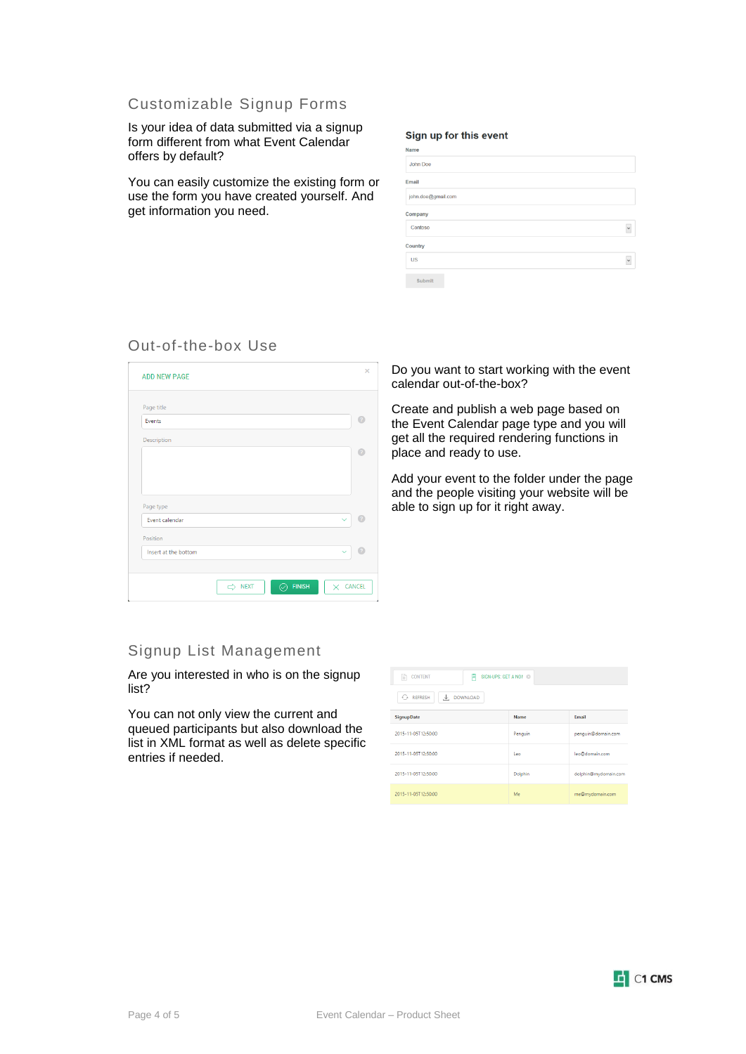#### Customizable Signup Forms

Is your idea of data submitted via a signup form different from what Event Calendar offers by default?

You can easily customize the existing form or use the form you have created yourself. And get information you need.

#### Sign up for this event

| Name               |              |
|--------------------|--------------|
| John Doe           |              |
| Email              |              |
| john.doe@gmail.com |              |
| Company            |              |
| Contoso            | $\checkmark$ |
| Country            |              |
| <b>US</b>          | $\checkmark$ |
| Submit             |              |

#### Out-of-the-box Use

| Page title           |                            |
|----------------------|----------------------------|
| Events               | 7                          |
| Description          |                            |
|                      |                            |
|                      |                            |
|                      |                            |
|                      |                            |
| Page type            |                            |
| Event calendar       | 2<br>$\checkmark$          |
| Position             |                            |
| Insert at the bottom | $\sqrt{2}$<br>$\checkmark$ |
|                      |                            |
|                      |                            |

Do you want to start working with the event calendar out-of-the-box?

Create and publish a web page based on the Event Calendar page type and you will get all the required rendering functions in place and ready to use.

Add your event to the folder under the page and the people visiting your website will be able to sign up for it right away.

### Signup List Management

Are you interested in who is on the signup list?

You can not only view the current and queued participants but also download the list in XML format as well as delete specific entries if needed.

| <b>CONTENT</b><br>SIGN-UPS: GET A NON @<br>E<br>E |            |                      |  |
|---------------------------------------------------|------------|----------------------|--|
| $C_{2}$ REFRESH<br>$\downarrow$ DOWNLOAD          |            |                      |  |
| <b>SignupDate</b>                                 | Name       | <b>Email</b>         |  |
| 2015-11-05T12:50:00                               | Penguin    | penguin@domain.com   |  |
| 2015-11-05T12:50:00                               | <b>Leo</b> | leo@domain.com       |  |
| 2015-11-05T12:50:00                               | Dolphin    | dolphin@mydomain.com |  |
| 2015-11-05T12:50:00                               | Me         | me@mydomain.com      |  |